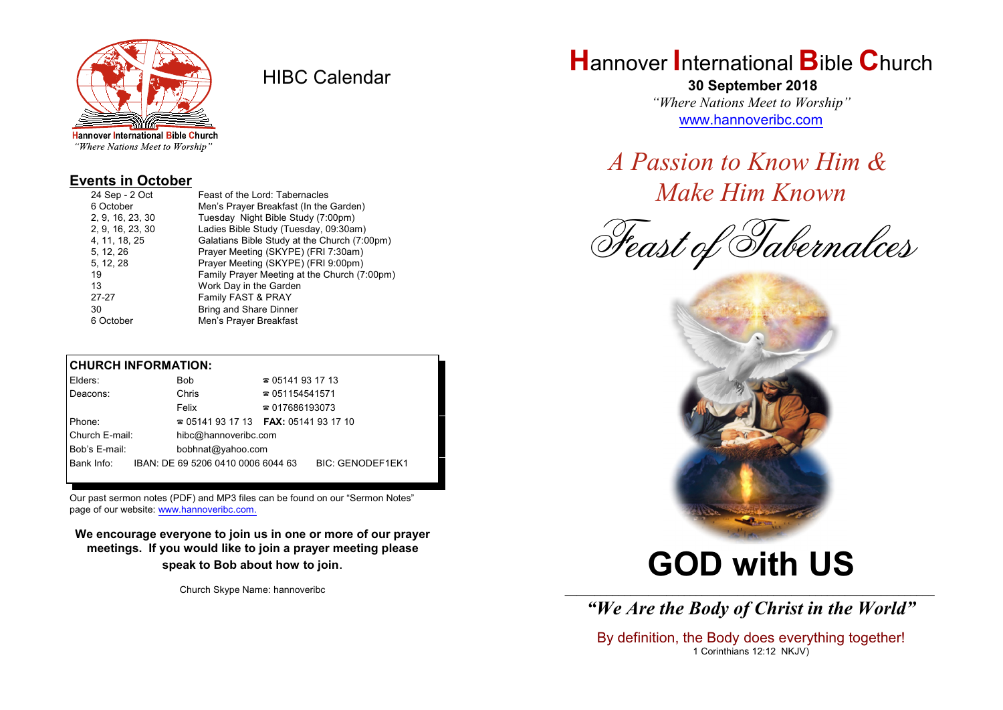

HIBC Calendar

"Where Nations Meet to Worship"

#### **Events in October**

| Feast of the Lord: Tabernacles               |
|----------------------------------------------|
| Men's Prayer Breakfast (In the Garden)       |
| Tuesday Night Bible Study (7:00pm)           |
| Ladies Bible Study (Tuesday, 09:30am)        |
| Galatians Bible Study at the Church (7:00pm) |
| Prayer Meeting (SKYPE) (FRI 7:30am)          |
| Prayer Meeting (SKYPE) (FRI 9:00pm)          |
| Family Prayer Meeting at the Church (7:00pm) |
| Work Day in the Garden                       |
| Family FAST & PRAY                           |
| <b>Bring and Share Dinner</b>                |
| Men's Prayer Breakfast                       |
|                                              |

#### **CHURCH INFORMATION:**

| Elders:        |  | Bob                                           | $\approx 05141931713$  |                         |  |
|----------------|--|-----------------------------------------------|------------------------|-------------------------|--|
| Deacons:       |  | Chris                                         | $\approx 051154541571$ |                         |  |
|                |  | Felix                                         | $\approx 017686193073$ |                         |  |
| Phone:         |  | $\approx 05141931713$ FAX: 0514193 17 10      |                        |                         |  |
| Church E-mail: |  | hibc@hannoveribc.com                          |                        |                         |  |
| Bob's E-mail:  |  | bobhnat@yahoo.com                             |                        |                         |  |
|                |  | Bank Info: IBAN: DE 69 5206 0410 0006 6044 63 |                        | <b>BIC: GENODEF1EK1</b> |  |
|                |  |                                               |                        |                         |  |

Our past sermon notes (PDF) and MP3 files can be found on our "Sermon Notes" page of our website: [www.hannoveribc.com.](http://www.hannoveribc.com.)

**We encourage everyone to join us in one or more of our prayer meetings. If you would like to join a prayer meeting please speak to Bob about how to join**.

Church Skype Name: hannoveribc

## **H**annover **I**nternational **B**ible **C**hurch

 **30 September 2018** *"Where Nations Meet to Worship"* [www.hannoveribc.com](http://www.hannoveribc.com)

*A Passion to Know Him & Make Him Known*

*Feast of Tabernalces*



# **GOD with US**

\_\_\_\_\_\_\_\_\_\_\_\_\_\_\_\_\_\_\_\_\_\_\_\_\_\_\_\_\_\_\_\_\_\_\_\_\_\_\_\_\_\_\_\_\_\_\_\_\_\_\_\_\_\_\_\_\_\_\_\_\_\_ *"We Are the Body of Christ in the World"*

By definition, the Body does everything together! 1 Corinthians 12:12 NKJV)